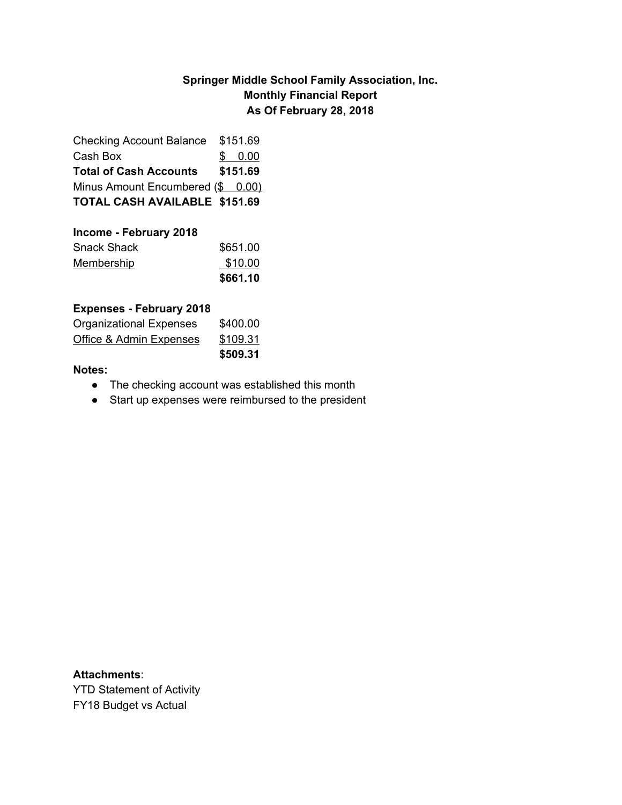## **Springer Middle School Family Association, Inc. Monthly Financial Report As Of February 28, 2018**

| <b>Checking Account Balance</b>      | \$151.69 |
|--------------------------------------|----------|
| Cash Box                             | \$0.00   |
| <b>Total of Cash Accounts</b>        | \$151.69 |
| Minus Amount Encumbered (\$ 0.00)    |          |
| <b>TOTAL CASH AVAILABLE \$151.69</b> |          |

| Income - February 2018 |          |
|------------------------|----------|
| <b>Snack Shack</b>     | \$651.00 |
| <b>Membership</b>      | \$10.00  |
|                        | \$661.10 |

#### **Expenses - February 2018**

|                                    | \$509.31 |
|------------------------------------|----------|
| <b>Office &amp; Admin Expenses</b> | \$109.31 |
| <b>Organizational Expenses</b>     | \$400.00 |

### **Notes:**

- The checking account was established this month
- Start up expenses were reimbursed to the president

**Attachments**: YTD Statement of Activity FY18 Budget vs Actual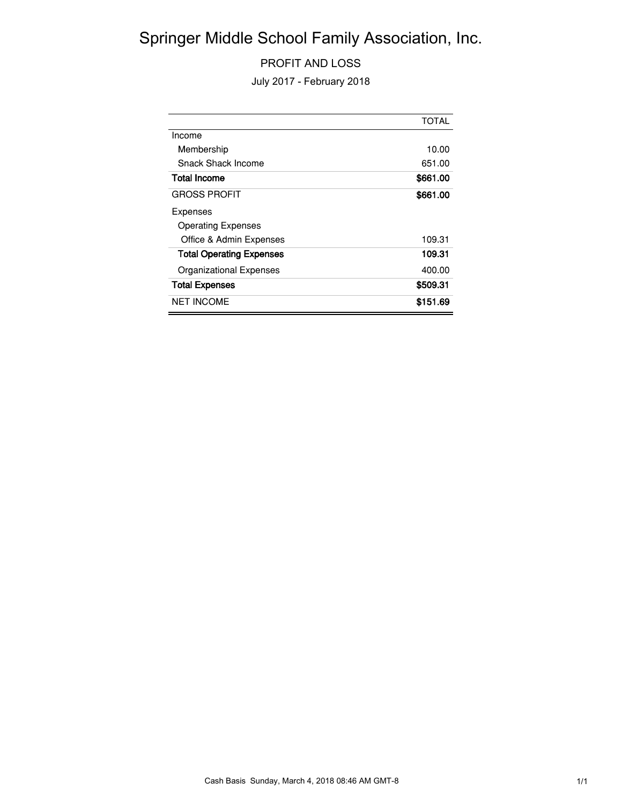# Springer Middle School Family Association, Inc.

### PROFIT AND LOSS

July 2017 - February 2018

|                                 | <b>TOTAL</b> |
|---------------------------------|--------------|
| Income                          |              |
| Membership                      | 10.00        |
| Snack Shack Income              | 651.00       |
| <b>Total Income</b>             | \$661.00     |
| <b>GROSS PROFIT</b>             | \$661.00     |
| Expenses                        |              |
| <b>Operating Expenses</b>       |              |
| Office & Admin Expenses         | 109.31       |
| <b>Total Operating Expenses</b> | 109.31       |
| Organizational Expenses         | 400.00       |
| <b>Total Expenses</b>           | \$509.31     |
| <b>NET INCOME</b>               | \$151.69     |